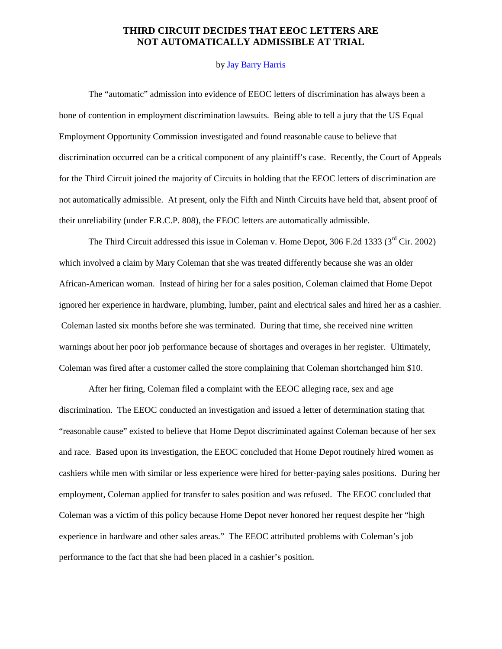## **THIRD CIRCUIT DECIDES THAT EEOC LETTERS ARE NOT AUTOMATICALLY ADMISSIBLE AT TRIAL**

## by Jay Barry [Harris](mailto:jharris@finemanbach.com)

The "automatic" admission into evidence of EEOC letters of discrimination has always been a bone of contention in employment discrimination lawsuits. Being able to tell a jury that the US Equal Employment Opportunity Commission investigated and found reasonable cause to believe that discrimination occurred can be a critical component of any plaintiff's case. Recently, the Court of Appeals for the Third Circuit joined the majority of Circuits in holding that the EEOC letters of discrimination are not automatically admissible. At present, only the Fifth and Ninth Circuits have held that, absent proof of their unreliability (under F.R.C.P. 808), the EEOC letters are automatically admissible.

The Third Circuit addressed this issue in Coleman v. Home Depot, 306 F.2d 1333 ( $3<sup>rd</sup>$  Cir. 2002) which involved a claim by Mary Coleman that she was treated differently because she was an older African-American woman. Instead of hiring her for a sales position, Coleman claimed that Home Depot ignored her experience in hardware, plumbing, lumber, paint and electrical sales and hired her as a cashier. Coleman lasted six months before she was terminated. During that time, she received nine written warnings about her poor job performance because of shortages and overages in her register. Ultimately, Coleman was fired after a customer called the store complaining that Coleman shortchanged him \$10.

 After her firing, Coleman filed a complaint with the EEOC alleging race, sex and age discrimination. The EEOC conducted an investigation and issued a letter of determination stating that "reasonable cause" existed to believe that Home Depot discriminated against Coleman because of her sex and race. Based upon its investigation, the EEOC concluded that Home Depot routinely hired women as cashiers while men with similar or less experience were hired for better-paying sales positions. During her employment, Coleman applied for transfer to sales position and was refused. The EEOC concluded that Coleman was a victim of this policy because Home Depot never honored her request despite her "high experience in hardware and other sales areas." The EEOC attributed problems with Coleman's job performance to the fact that she had been placed in a cashier's position.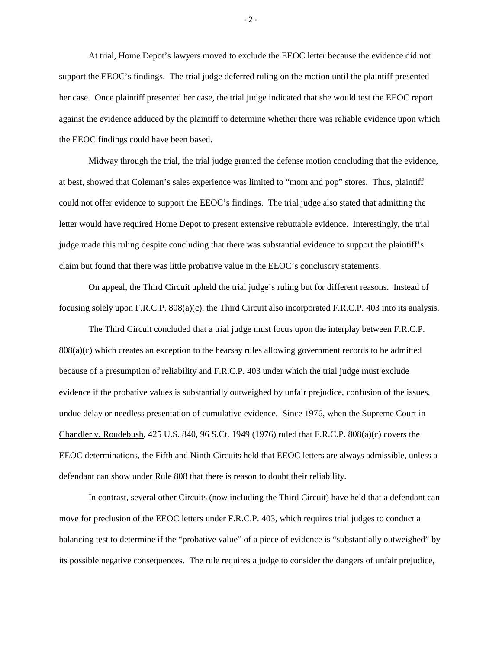At trial, Home Depot's lawyers moved to exclude the EEOC letter because the evidence did not support the EEOC's findings. The trial judge deferred ruling on the motion until the plaintiff presented her case. Once plaintiff presented her case, the trial judge indicated that she would test the EEOC report against the evidence adduced by the plaintiff to determine whether there was reliable evidence upon which the EEOC findings could have been based.

Midway through the trial, the trial judge granted the defense motion concluding that the evidence, at best, showed that Coleman's sales experience was limited to "mom and pop" stores. Thus, plaintiff could not offer evidence to support the EEOC's findings. The trial judge also stated that admitting the letter would have required Home Depot to present extensive rebuttable evidence. Interestingly, the trial judge made this ruling despite concluding that there was substantial evidence to support the plaintiff's claim but found that there was little probative value in the EEOC's conclusory statements.

 On appeal, the Third Circuit upheld the trial judge's ruling but for different reasons. Instead of focusing solely upon F.R.C.P. 808(a)(c), the Third Circuit also incorporated F.R.C.P. 403 into its analysis.

 The Third Circuit concluded that a trial judge must focus upon the interplay between F.R.C.P. 808(a)(c) which creates an exception to the hearsay rules allowing government records to be admitted because of a presumption of reliability and F.R.C.P. 403 under which the trial judge must exclude evidence if the probative values is substantially outweighed by unfair prejudice, confusion of the issues, undue delay or needless presentation of cumulative evidence. Since 1976, when the Supreme Court in Chandler v. Roudebush, 425 U.S. 840, 96 S.Ct. 1949 (1976) ruled that F.R.C.P. 808(a)(c) covers the EEOC determinations, the Fifth and Ninth Circuits held that EEOC letters are always admissible, unless a defendant can show under Rule 808 that there is reason to doubt their reliability.

 In contrast, several other Circuits (now including the Third Circuit) have held that a defendant can move for preclusion of the EEOC letters under F.R.C.P. 403, which requires trial judges to conduct a balancing test to determine if the "probative value" of a piece of evidence is "substantially outweighed" by its possible negative consequences. The rule requires a judge to consider the dangers of unfair prejudice,

- 2 -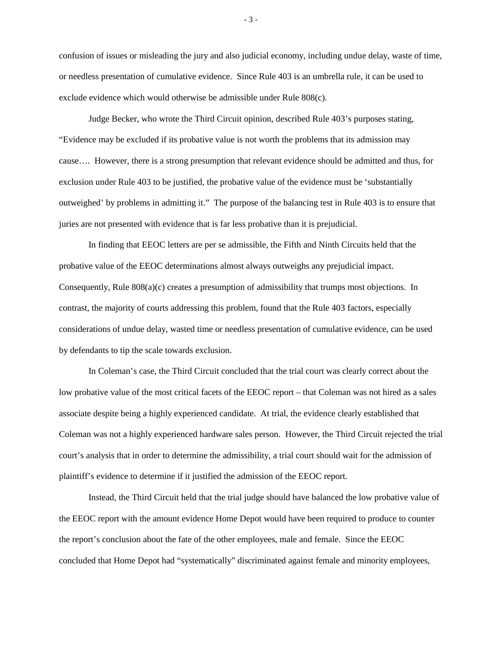confusion of issues or misleading the jury and also judicial economy, including undue delay, waste of time, or needless presentation of cumulative evidence. Since Rule 403 is an umbrella rule, it can be used to exclude evidence which would otherwise be admissible under Rule 808(c).

 Judge Becker, who wrote the Third Circuit opinion, described Rule 403's purposes stating, "Evidence may be excluded if its probative value is not worth the problems that its admission may cause…. However, there is a strong presumption that relevant evidence should be admitted and thus, for exclusion under Rule 403 to be justified, the probative value of the evidence must be 'substantially outweighed' by problems in admitting it." The purpose of the balancing test in Rule 403 is to ensure that juries are not presented with evidence that is far less probative than it is prejudicial.

 In finding that EEOC letters are per se admissible, the Fifth and Ninth Circuits held that the probative value of the EEOC determinations almost always outweighs any prejudicial impact. Consequently, Rule 808(a)(c) creates a presumption of admissibility that trumps most objections. In contrast, the majority of courts addressing this problem, found that the Rule 403 factors, especially considerations of undue delay, wasted time or needless presentation of cumulative evidence, can be used by defendants to tip the scale towards exclusion.

In Coleman's case, the Third Circuit concluded that the trial court was clearly correct about the low probative value of the most critical facets of the EEOC report – that Coleman was not hired as a sales associate despite being a highly experienced candidate. At trial, the evidence clearly established that Coleman was not a highly experienced hardware sales person. However, the Third Circuit rejected the trial court's analysis that in order to determine the admissibility, a trial court should wait for the admission of plaintiff's evidence to determine if it justified the admission of the EEOC report.

 Instead, the Third Circuit held that the trial judge should have balanced the low probative value of the EEOC report with the amount evidence Home Depot would have been required to produce to counter the report's conclusion about the fate of the other employees, male and female. Since the EEOC concluded that Home Depot had "systematically" discriminated against female and minority employees,

- 3 -